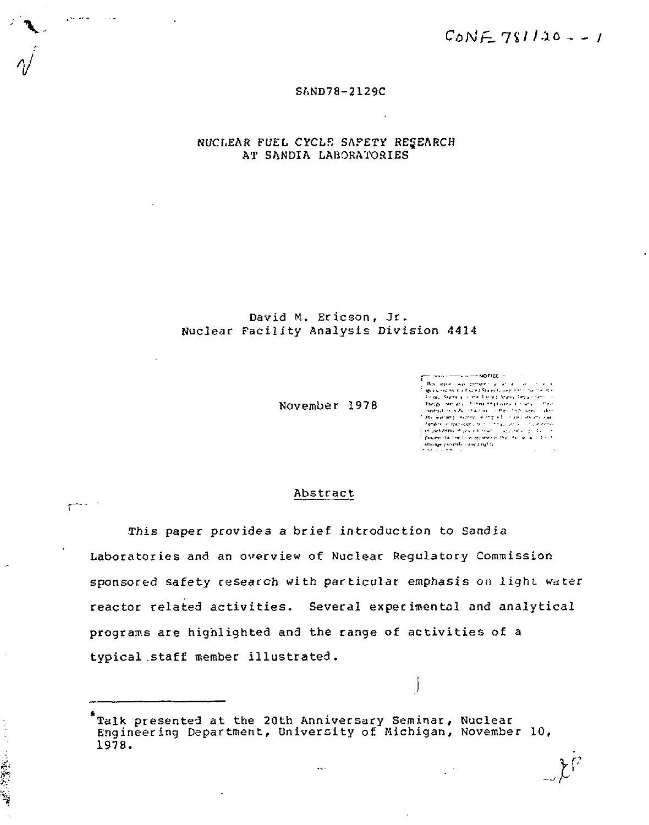$C_{\text{o}}NE$   $781120 - 1$ 

#### SAND78-2129C

NUCLEAR FUEL CYCLR SAFETY RESEARCH AT SANDIA LABORATORIES

المتعادي **College** 

 $\mathbf{r}$ 

神聖教室

#### David M. Ericson, Jr. Nuclear Facility Analysis Division 4414

November 1978

 $\cdots$  and  $\cdots$  and  $\cdots$ 

*V* 

#### Abstract

This paper provides a brief introduction to Sandia Laboratories and an overview of Nuclear Regulatory Commission sponsored safety research with particular emphasis on light water reactor related activities. Several experimental and analytical programs are highlighted and the range of activities of a typical .staff member illustrated.

Talk presented at the 20th Anniversary Seminar, Nuclear Engineering Department, University of Michigan, November 10, 1978.  $\ddot{\phantom{a}}$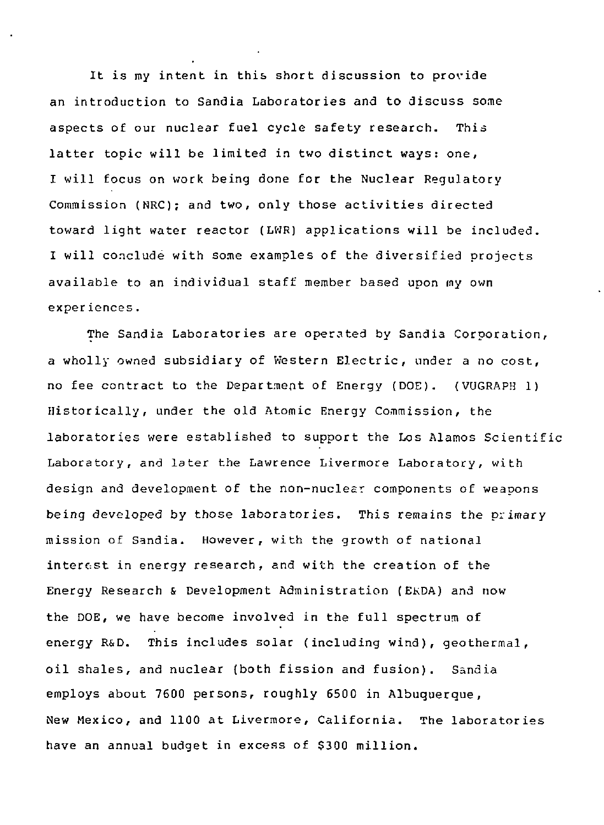It is my intent in this short discussion to provide an introduction to Sandia Laboratories and to discuss some aspects of our nuclear fuel cycle safety research. This latter topic will be limited in two distinct ways: one, I will focus on work being done for the Nuclear Regulatory Commission (NRC); and two, only those activities directed toward light water reactor (LWR) applications will be included. I will conclude with some examples of the diversified projects available to an individual staff member based upon my own exper iences.

The Sandia Laboratories are operated by Sandia Corporation, a wholly owned subsidiary of Western Electric, under a no cost, no fee contract to the Department of Energy (DOE). (VUGRAPH 1) Historically, under the old Atomic Energy Commission, the laboratories were established to support the Los Alamos Scientific Laboratory, and later the Lawrence Livermore Laboratory, with design and development of the non-nuclesr components of weapons being developed by those laboratories. This remains the primary mission of Sandia. However, with the growth of national interest in energy research, and with the creation of the Energy Research & Development Administration (EKDA) and now the DOE, we have become involved in the full spectrum of energy R&D. This includes solar (including wind), geothermal, oil shales, and nuclear (both fission and fusion). Sandia employs about 7600 persons, roughly 6500 in Albuquerque, New Mexico, and 1100 at Livermore, California. The laboratories have an annual budget in excess of \$300 million.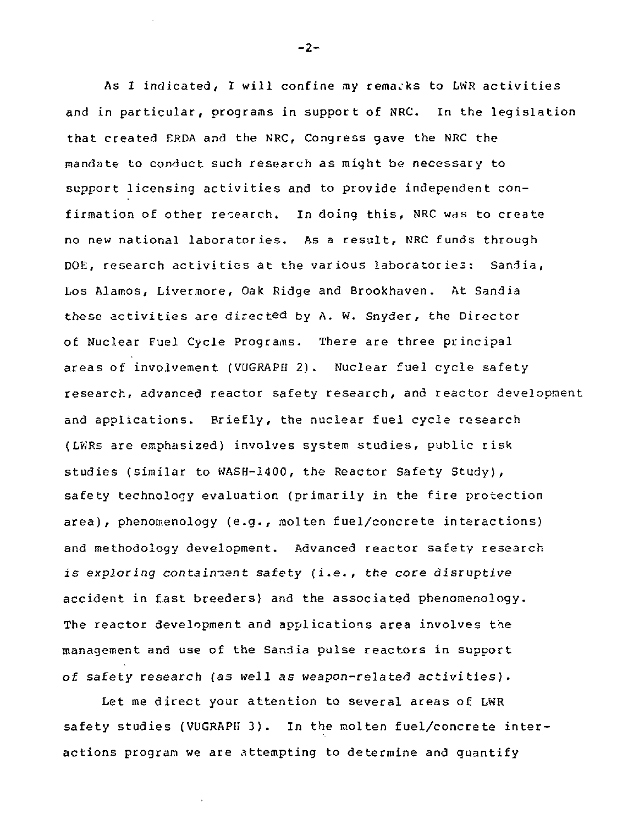As I indicated, I will confine my remarks to LWR activities and in particular, programs in support of NRC. In the legislation that created ERDA and the NRC, Congress gave the NRC the mandate to conduct such research as might be necessary to support licensing activities and to provide independent confirmation of other research. In doing this, NRC was to create no new national laboratories. As a result, NRC funds through DOE, research activities at the various laboratories: Sandia, Los Alamos, Livermore, Oak Ridge and Brookhaven. At Sandia these activities are directed by A. W. Snyder, the Director of Nuclear Fuel Cycle Programs. There are three principal areas of involvement (VUGRAPH 2). Nuclear fuel cycle safety research, advanced reactor safety research, and reactor development and applications. Briefly, the nuclear fuel cycle research (LViRs are emphasized) involves system studies, public risk studies (similar to WASH-1400, the Reactor Safety Study), safety technology evaluation (primarily in the fire protection area), phenomenology (e.g., molten fuel/concrete interactions) and methodology development. Advanced reactor safety research is exploring containment safety (i.e., the core disruptive accident in fast breeders) and the associated phenomenology. The reactor development and applications area involves the management and use of the Sandia pulse reactors in support of safety research (as well as weapon-related activities).

Let me direct your attention to several areas of LWR safety studies (VUGRAPH 3). In the molten fuel/concrete interactions program we are attempting to determine and quantify

-2-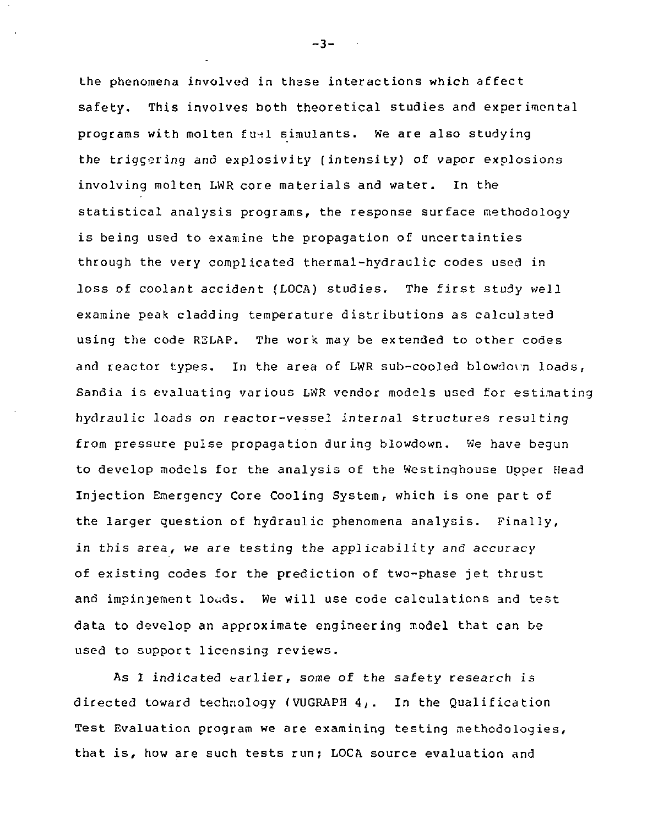the phenomena involved in these interactions which affect safety. This involves both theoretical studies and experimental programs with molten fuel simulants. We are also studying the triggering and explosivity (intensity) of vapor explosions involving molten LWR core materials and water. In the statistical analysis programs, the response surface methodology is being used to examine the propagation of uncertainties through the very complicated thermal-hydraulic codes used in loss of coolant accident (LOCA) studies. The first study well examine peak cladding temperature distributions as calculated using the code RELAP. The work may be extended to other codes and reactor types. In the area of LWR sub-cooled blowdorn loads, Sandia is evaluating various LWR vendor models used for estimating hydraulic loads on reactor-vessel internal structures resulting from pressure pulse propagation during blowdown. We have begun to develop models for the analysis of the Westinghouse Upper Head Injection Emergency Core Cooling System, which is one part of the larger question of hydraulic phenomena analysis. Finally, in this area, we are testing the applicability and accuracy of existing codes for the prediction of two-phase jet thrust and impinjement louds. We will use code calculations and test data to develop an approximate engineering model that can be used to support licensing reviews.

As I indicated earlier, some of the safety research is directed toward technology (VUGRAPH 4,. In the Qualification Test Evaluation program we are examining testing methodologies, that is, how are such tests run; LOCA source evaluation and

-3-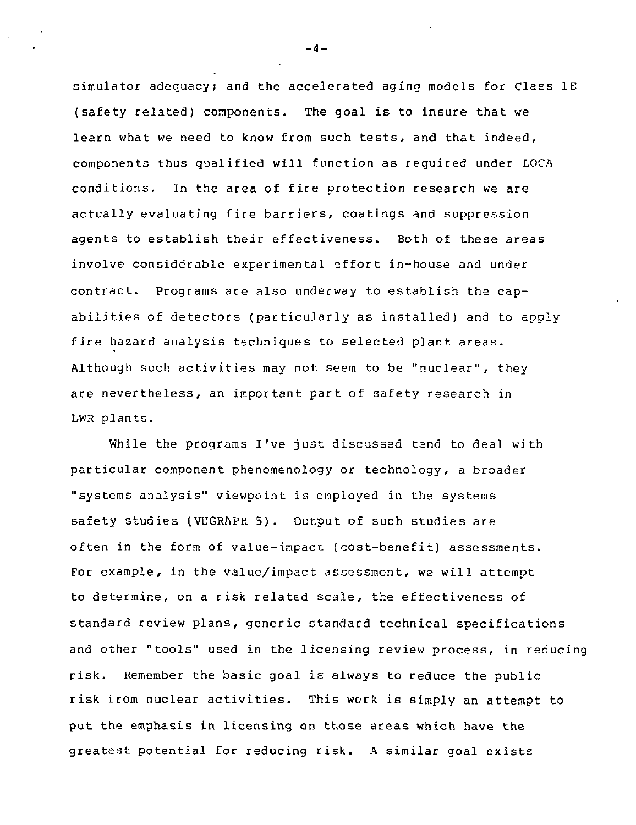simulator adequacy; and the accelerated aging models for Class IE (safety related) components. The goal is to insure that we learn what we need to know from such tests, and that indeed, components thus qualified will function as required under LOCA conditions. In the area of fire protection research we are actually evaluating fire barriers, coatings and suppression agents to establish their effectiveness. Both of these areas involve considerable experimental effort in-house and under contract. Programs are also underway to establish the capabilities of detectors (particularly as installed) and to apply fire hazard analysis techniques to selected plant areas. Although such activities may not seem to be "nuclear", they are nevertheless, an important part of safety research in LWR plants.

While the programs I've just discussed tend to deal with particular component phenomenology or technology, a broader "systems analysis" viewpoint is employed in the systems safety studies (VUGRAPH 5). Output of such studies are often in the form of value-impact (cost-benefit) assessments. For example, in the value/impact assessment, we will attempt to determine, on a risk related scale, the effectiveness of standard review plans, generic standard technical specifications and other "tools" used in the licensing review process, in reducing risk. Remember the basic goal is always to reduce the public risk from nuclear activities. This work is simply an attempt to put the emphasis in licensing on those areas which have the greatest potential for reducing risk. A similar goal exists

 $-4-$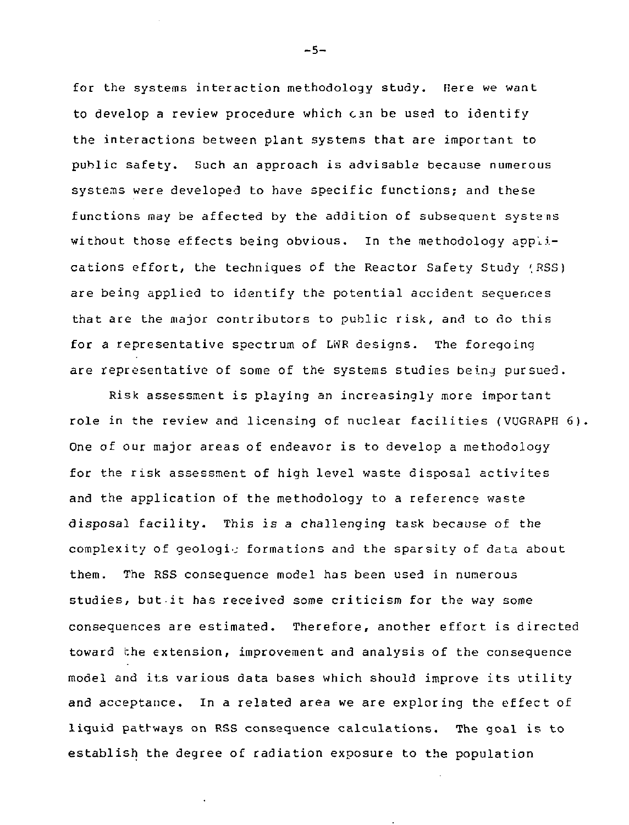for the systems interaction methodology study. Here we want to develop a review procedure which can be used to identify the interactions between plant systems that are important to public safety. Such an approach is advisable because numerous systems were developed to have specific functions; and these functions may be affected by the addition of subsequent systens without those effects being obvious. In the methodology applications effort, the techniques of the Reactor Safety Study (RSS) are being applied to identify the potential accident sequences that are the major contributors to public risk, and to do this for a representative spectrum of LWR designs. The foregoing are representative of some of the systems studies being pursued.

Risk assessment is playing an increasingly more important role in the review and licensing of nuclear facilities (VUGRAPH 6). One of our major areas of endeavor is to develop a methodology for the risk assessment of high level waste disposal activites and the application of the methodology to a reference waste disposal facility. This is a challenging task because of the complexity of geologic formations and the sparsity of data about them. The RSS consequence model has been used in numerous studies, but it has received some criticism for the way some consequences are estimated. Therefore, another effort is directed toward the extension, improvement and analysis of the consequence model and its various data bases which should improve its utility and acceptance. In a related area we are exploring the effect of liquid pathways on RSS consequence calculations. The goal is to establish the degree of radiation exposure to the population

-5-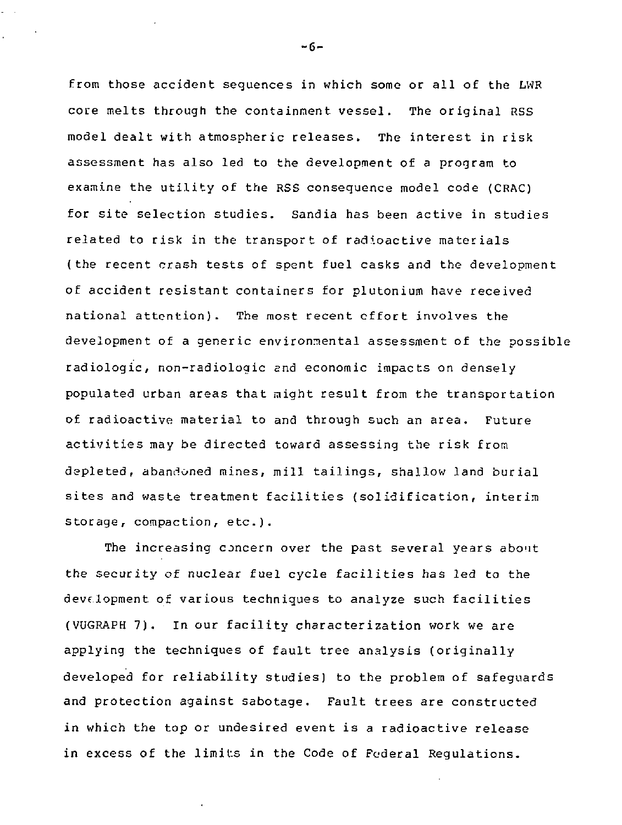from those accident sequences in which some or all of the LWR core melts through the containment vessel. The original RSS model dealt with atmospheric releases. The interest in risk assessment has also led to the development of a program to examine the utility of the RSS consequence model code (CRAC) for site selection studies. Sandia has been active in studies related to risk in the transport of radioactive materials (the recent crash tests of spent fuel casks and the development of accident resistant containers for plutonium have received national attention). The most recent effort involves the development of a generic environmental assessment of the possible radiologic, non-radioloqic end economic impacts on densely populated urban areas that might result from the transportation of radioactive material to and through such an area. Future activities may be directed toward assessing the risk from depleted, abandoned mines, mill tailings, shallow land burial sites and waste treatment facilities (solidification, interim storage, compaction, etc.).

The increasing concern over the past several years about the security of nuclear fuel cycle facilities has led to the development of various techniques to analyze such facilities (VUGRAPH 7). In our facility characterization work we are applying the techniques of fault tree analysis (originally developed for reliability studies) to the problem of safeguards and protection against sabotage. Fault trees are constructed in which the top or undesired event is a radioactive release in excess of the limits in the Code of Federal Regulations.

-6-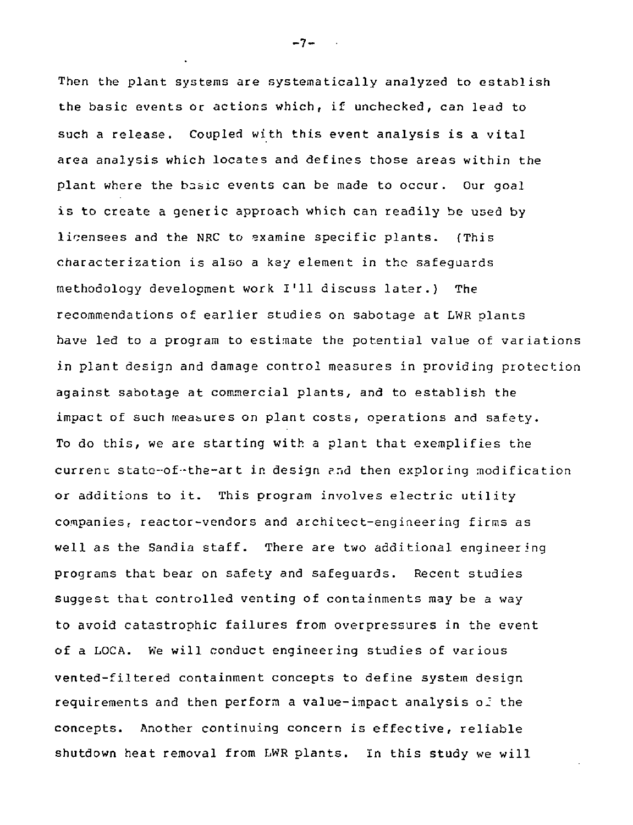Then the plant systems are systematically analyzed to establish the basic events or actions which, if unchecked, can lead to such a release. Coupled with this event analysis is a vital area analysis which locates and defines those areas within the plant where the basic events can be made to occur. Our goal is to create a generic approach which can readily be used by licensees and the NRC to examine specific plants. (This characterization is also a key element in the safeguards methodology development work I'll discuss later.) The recommendations of earlier studies on sabotage at LWR plants have led to a program to estimate the potential value of variations in plant design and damage control measures in providing protection against sabotage at commercial plants, and to establish the impact of such measures on plant costs, operations and safety. To do this, we are starting with a plant that exemplifies the current state-of-the-art in design ?.nd then exploring modification or additions to it. This program involves electric utility companies; reactor-vendors and architect-engineering firms as well as the Sandia staff. There are two additional engineering programs that bear on safety and safeguards. Recent studies suggest that controlled venting of containments may be a way to avoid catastrophic failures from overpressures in the event of a LOCA. We will conduct engineering studies of various vented-filtered containment concepts to define system design requirements and then perform a value-impact analysis of the concepts. Another continuing concern is effective, reliable shutdown heat removal from LWR plants. In this study we will

-7-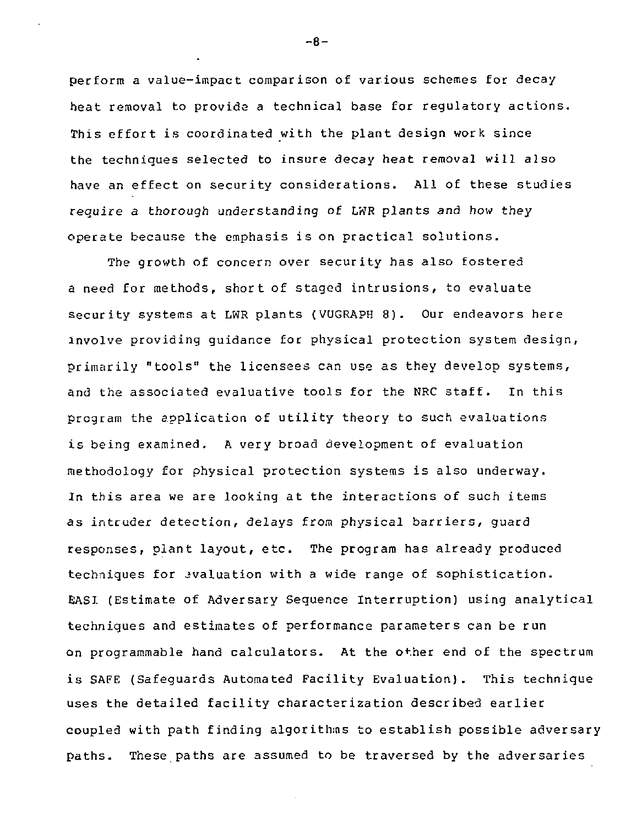perform a value-impact comparison of various schemes for decay heat removal to provide a technical base for regulatory actions. This effort is coordinated with the plant design work since the techniques selected to insure decay heat removal will also have an effect on security considerations. All of these studies require a thorough understanding of LWR plants and how they operate because the emphasis is on practical solutions.

The growth of concern over security has also fostered a need for methods, short of staged intrusions, to evaluate security systems at LWR plants (VUGRAPH 8). Our endeavors here involve providing guidance for physical protection system design, primarily "tools" the licensees can use as they develop systems, and the associated evaluative tools for the NRC staff. In this program the application of utility theory to such evaluations is being examined. A very broad development of evaluation methodology for physical protection systems is also underway. In this area we are looking at the interactions of such items as intcuder detection, delays from physical barriers, guard responses, plant layout, etc. The program has already produced techniques for evaluation with a wide range of sophistication. EASI (Estimate of Adversary Sequence Interruption) using analytical techniques and estimates of performance parameters can be run on programmable hand calculators. At the other end of the spectrum is SAFE (Safeguards Automated Facility Evaluation) . This technique uses the detailed facility characterization described earlier coupled with path finding algorithms to establish possible adversary paths. These paths are assumed to be traversed by the adversaries

-8-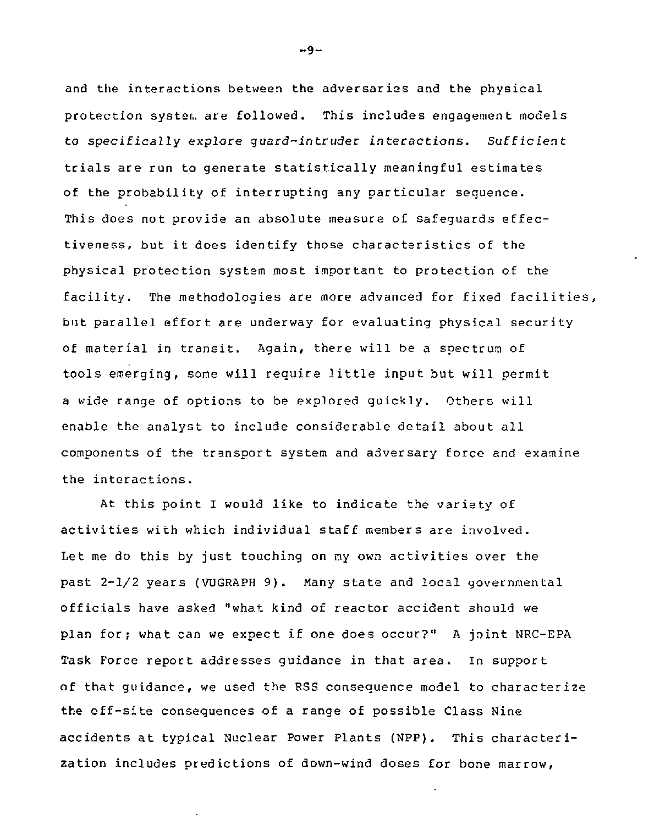and the interactions between the adversaries and the physical protection system are followed. This includes engagement models to specifically explore quard-intruder interactions. Sufficient trials are run to generate statistically meaningful estimates of the probability of interrupting any particular sequence. This does not provide an absolute measure of safequards effectiveness, but it does identify those characteristics of the physical protection system most important to protection of the facility. The methodologies are more advanced for fixed facilities, but parallel effort are underway for evaluating physical security of material in transit. Again, there will be a spectrum of tools emerging, some will require little input but will permit a wide range of options to be explored quickly. Others will enable the analyst to include considerable detail about all components of the transport system and adversary force and examine the interactions.

At this point I would like to indicate the variety of activities with which individual staff members are involved. Let me do this by just touching on my own activities over the past  $2-l/2$  years (VUGRAPH 9). Many state and local governmental officials have asked "what kind of reactor accident should we plan for; what can we expect if one does occur?" A joint NRC-EPA Task Force report addresses quidance in that area. In support of that quidance, we used the RSS consequence model to characterize the off-site consequences of a range of possible Class Nine accidents at typical Nuclear Power Plants (NPP). This characterization includes predictions of down-wind doses for bone marrow,

 $-9 -$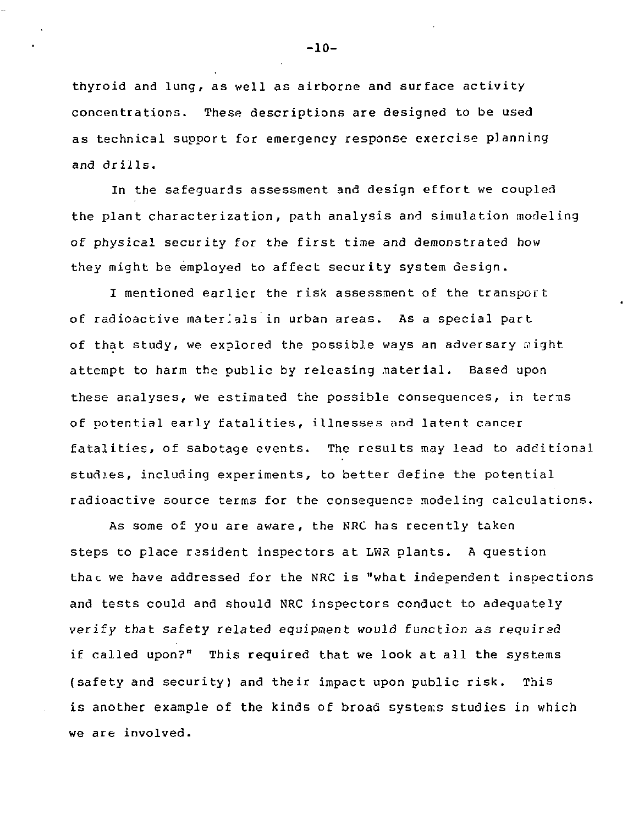thyroid and lung, as well as airborne and surface activity concentrations. These descriptions are designed to be used as technical support for emergency response exercise planning and drills.

In the safeguards assessment and design effort we coupled the plant characterization, path analysis and simulation modeling of physical security for the first time and demonstrated how they might be employed to affect security system design.

I mentioned earlier the risk assessment of the transport of radioactive materials in urban areas. As a special part of that study, we explored the possible ways an adversary might attempt to harm the public by releasing material. Based upon these analyses, we estimated the possible consequences, in terms of potential early fatalities, illnesses and latent cancer fatalities, of sabotage events. The results may lead to additional studies, including experiments, to better define the potential radioactive source terms for the consequence modeling calculations.

As some of you are aware, the NRC has recently taken steps to place rasident inspectors at LWR plants. A question thac we have addressed for the NRC is "what independent inspections and tests could and should NRC inspectors conduct to adequately verify that safety related equipment would function as required if called upon?" This required that we look at all the systems (safety and security) and their impact upon public risk. This is another example of the kinds of broad systems studies in which we are involved.

-10-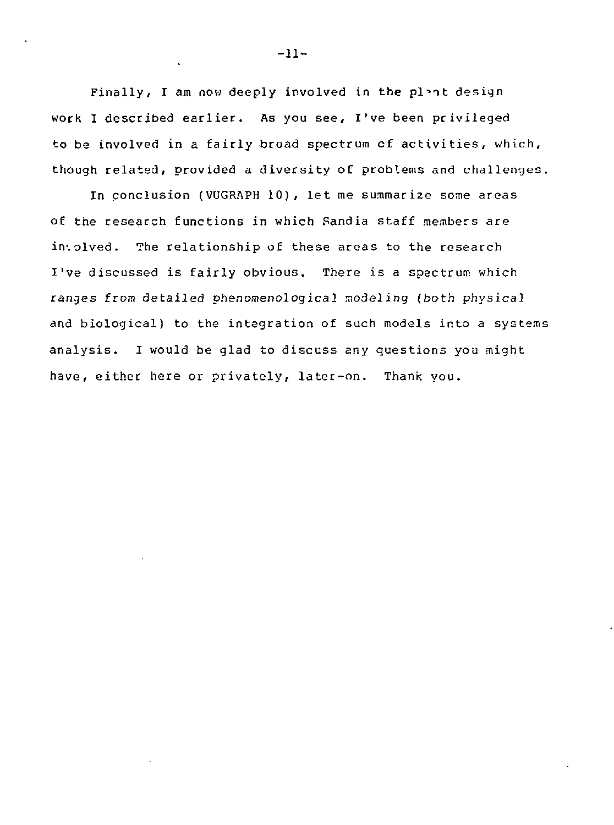Finally, I am now deeply involved in the plent design work I described earlier. As you see, I've been privileged to be involved in a fairly broad spectrum cf activities, which, though related, provided a diversity of problems and challenges.

In conclusion (VUGRAPH 10), let me summarize some areas of the research functions in which Pandia staff members are involved. The relationship of these areas to the research I've discussed is fairly obvious. There is a spectrum which ranges from detailed phenomenological modeling (both physical and biological) to the integration of such models into a systems analysis. I would be glad to discuss any questions you might have, either here or privately, later-on. Thank you.

-11-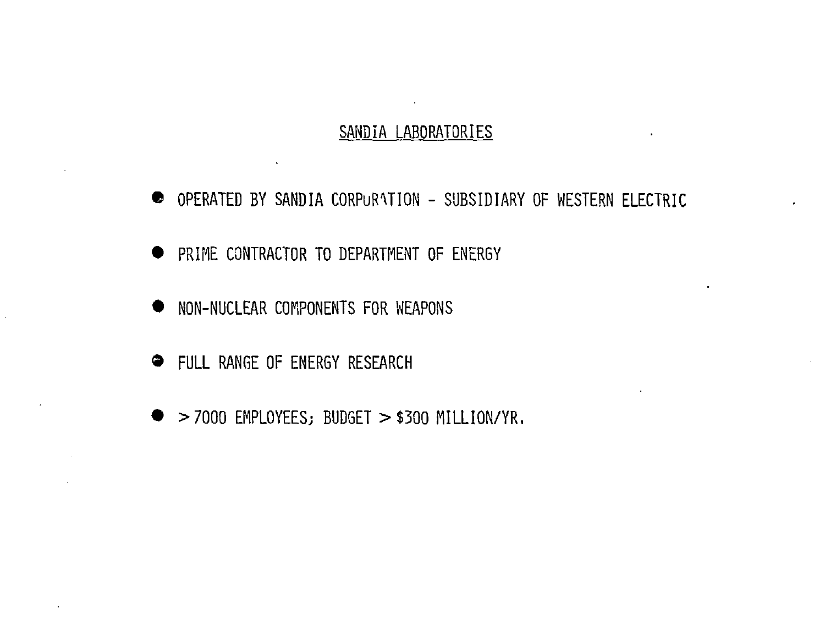# $\sim$ SANDIA LABORATORIES

- OPERATED BY SANDIA CORPuRVTION SUBSIDIARY OF WESTERN ELECTRIC
- **PRIME CONTRACTOR TO DEPARTMENT OF ENERGY**
- **NON-NUCLEAR COMPONENTS FOR WEAPONS**
- **FULL RANGE OF ENERGY RESEARCH**
- $\bullet$  >7000 EMPLOYEES; BUDGET > \$300 MILLION/YR.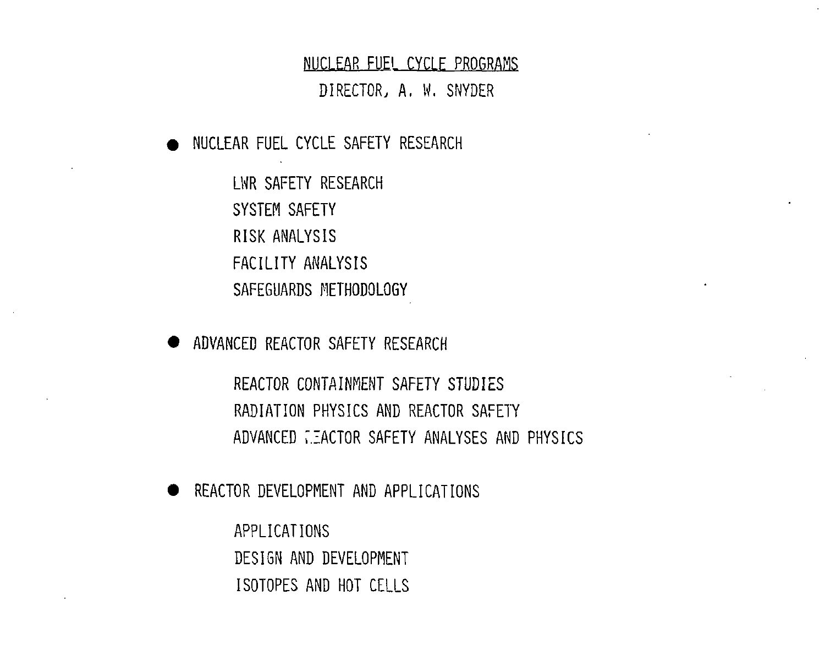#### NUCLEAR FUEL CYCLF PROGRAMS

DIRECTOR, A, W. SNYDER

**• NUCLEAR FUEL CYCLE SAFETY RESEARCH** 

LWR SAFETY RESEARCH SYSTEM SAFETY RISK ANALYSIS FACILITY ANALYSIS SAFEGUARDS METHODOLOGY

**• ADVANCED REACTOR SAFETY RESEARCH** 

REACTOR CONTAINMENT SAFETY STUDIES RADIATION PHYSICS AND REACTOR SAFETY ADVANCED FACTOR SAFETY ANALYSES AND PHYSICS

**• REACTOR DEVELOPMENT AND APPLICATIONS** 

APPLICATIONS DESIGN AND DEVELOPMENT ISOTOPES AND HOT CELLS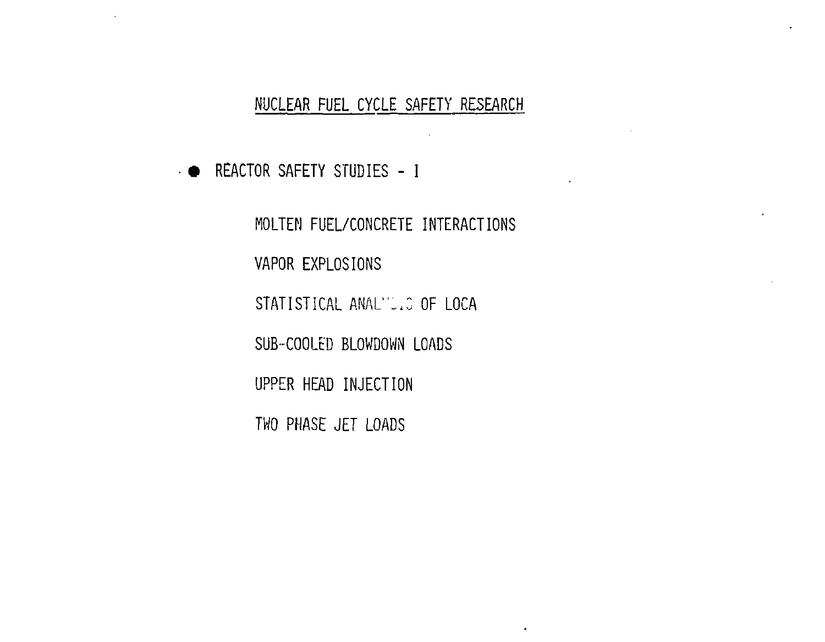$\sim 10$ 

 $\ddot{\phantom{1}}$ 

 $\bullet$ 

• • REACTOR SAFETY STUDIES - I

 $\sim$ 

MOLTEN FUEL/CONCRETE INTERACTIONS VAPOR EXPLOSIONS STATISTICAL ANALYSIS OF LOCA SUB-COOLED BLOWDOWN LOADS UPPER HEAD INJECTION TWO PHASE JET LOADS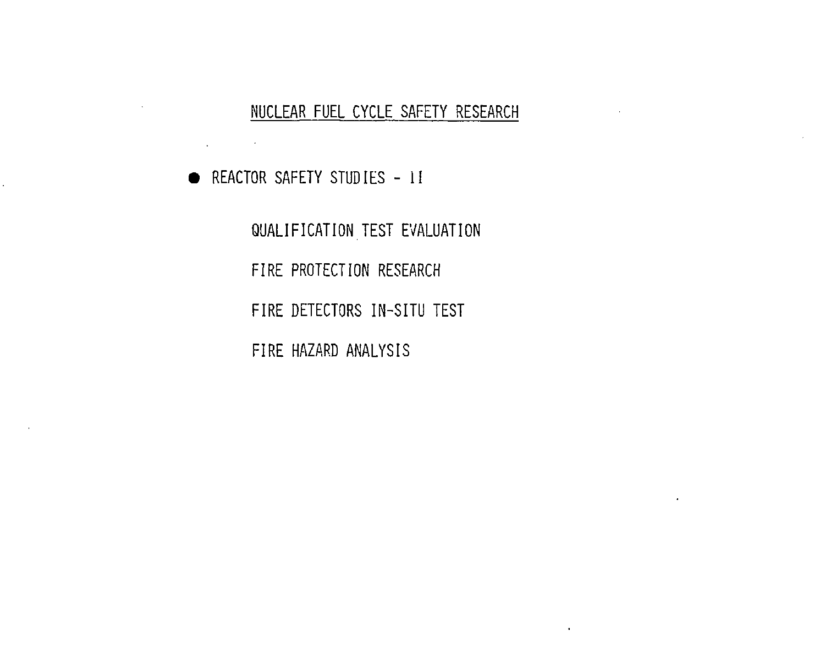**• REACTOR SAFETY STUDIES - 11** 

graduate the state

 $\ddot{\phantom{0}}$ 

QUALIFICATION TEST EVALUATION FIRE PROTECTION RESEARCH FIRE DETECTORS IN-SITU TEST FIRE HAZARD ANALYSIS

 $\cdot$ 

 $\mathbf{r}$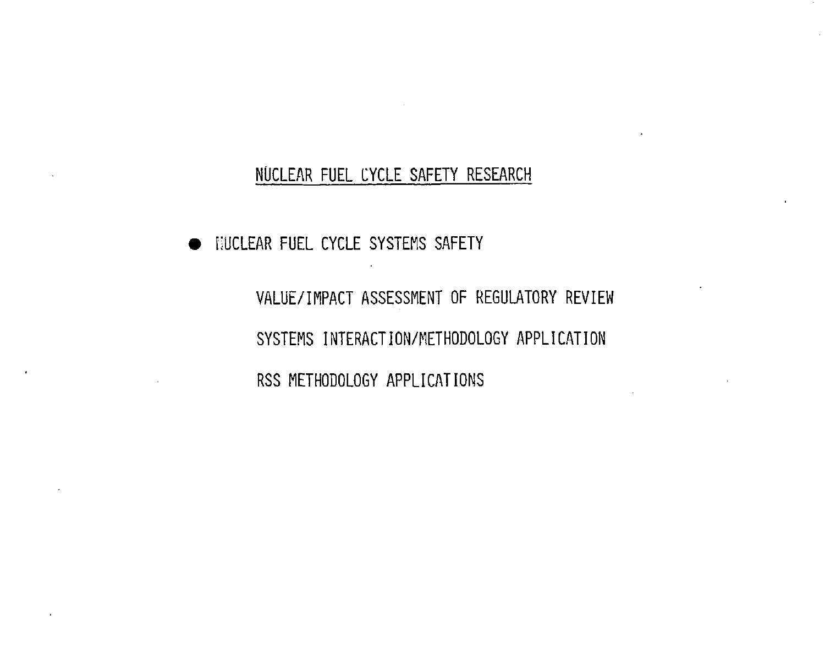**• NUCLEAR FUEL CYCLE SYSTEMS SAFETY** 

VALUE/IMPACT ASSESSMENT OF REGULATORY REVIEW SYSTEMS INTERACTION/METHODOLOGY APPLICATION RSS METHODOLOGY APPLICATIONS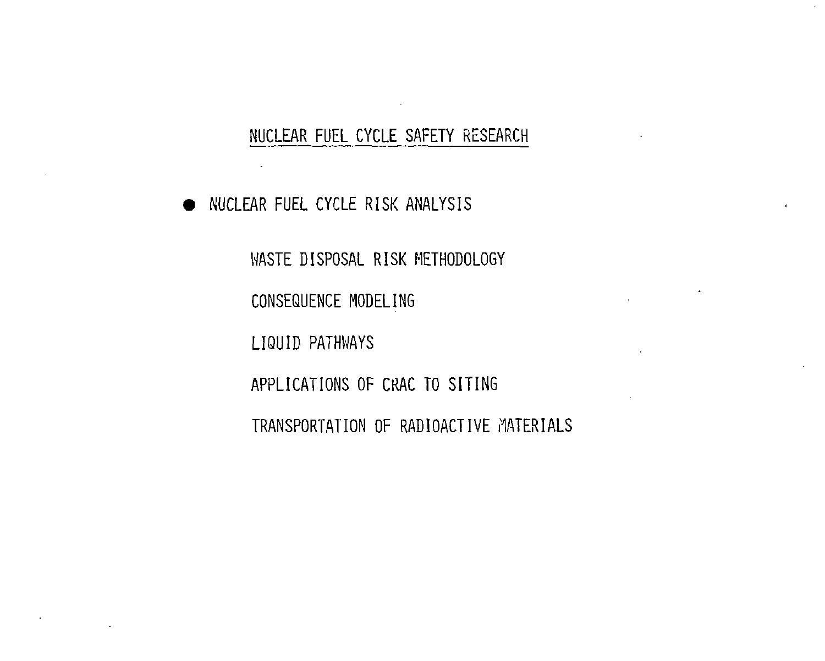$\sim 100$ 

• NUCLEAR FUEL CYCLE RISK ANALYSIS

 $\sim$ 

WASTE DISPOSAL RISK METHODOLOGY

CONSEQUENCE MODELING

LIQUID PATHWAYS

APPLICATIONS OF CRAC TO SITING

TRANSPORTATION OF RADIOACTIVE MATERIALS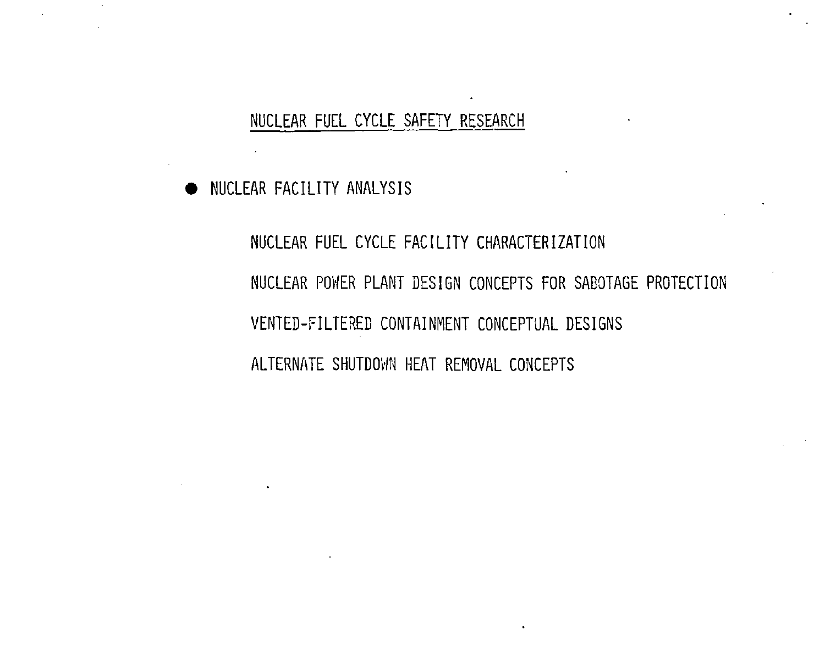• NUCLEAR FACILITY ANALYSIS

 $\sim$ 

NUCLEAR FUEL CYCLE FACILITY CHARACTERIZATION NUCLEAR POWER PLANT DESIGN CONCEPTS FOR SABOTAGE PROTECTION VENTED-FILTERED CONTAINMENT CONCEPTUAL DESIGNS ALTERNATE SHUTDOWN HEAT REMOVAL CONCEPTS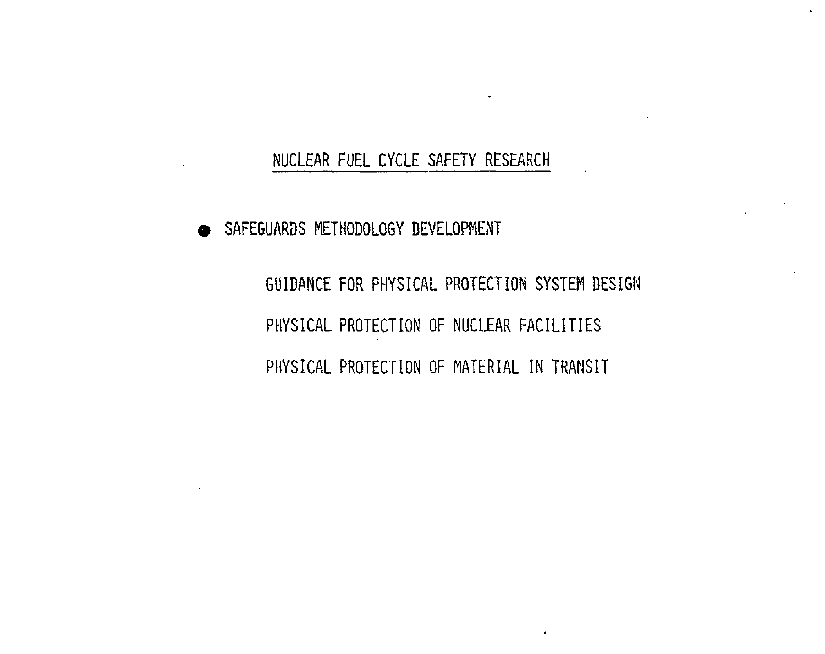**• SAFEGUARDS METHODOLOGY DEVELOPMENT** 

GUIDANCE FOR PHYSICAL PROTECTION SYSTEM DESIGN PHYSICAL PROTECTION OF NUCLEAR FACILITIES PHYSICAL PROTECTION OF MATERIAL IN TRANSIT

 $\ddot{\phantom{a}}$ 

 $\blacksquare$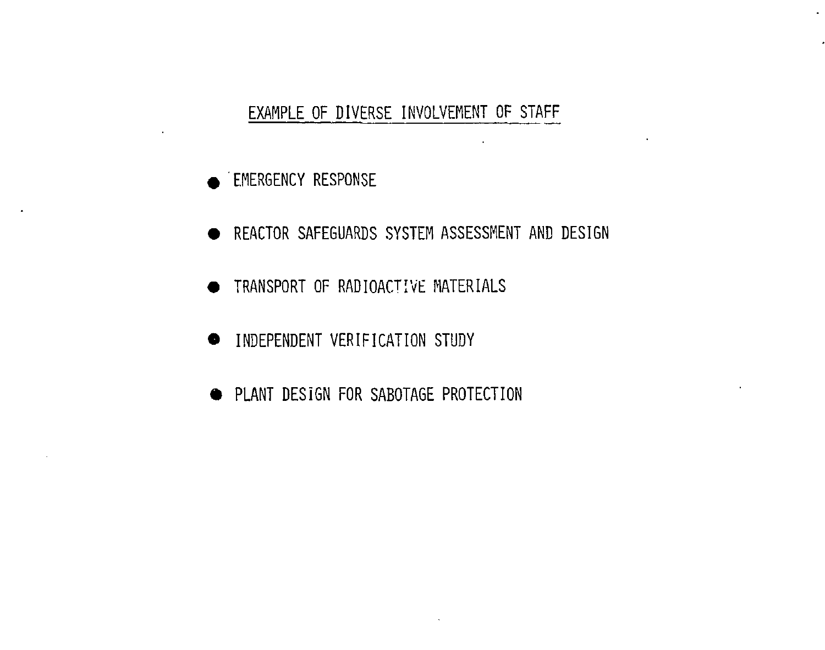## EXAMPLE OF DIVERSE INVOLVEMENT OF STAFF

 $\lambda$ 

- **EMERGENCY RESPONSE**
- **REACTOR SAFEGUARDS SYSTEM ASSESSMENT AND DESIGN**
- **TRANSPORT OF RADIOACTIVE MATERIALS**
- **INDEPENDENT VERIFICATION STUDY**
- **PLANT DESIGN FOR SABOTAGE PROTECTION**